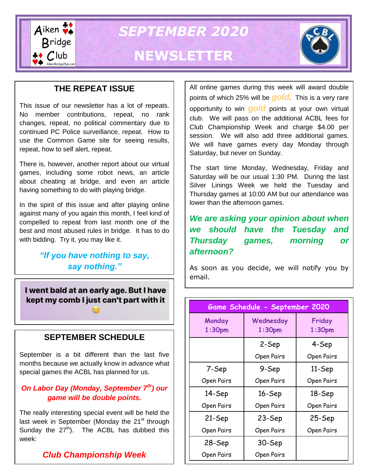

*SEPTEMBER 2020*

# **NEWSLETTER**



## **THE REPEAT ISSUE**

This issue of our newsletter has a lot of repeats. No member contributions, repeat, no rank changes, repeat, no political commentary due to continued PC Police surveillance, repeat. How to use the Common Game site for seeing results, repeat, how to self alert, repeat.

There is, however, another report about our virtual games, including some robot news, an article about cheating at bridge, and even an article having something to do with playing bridge.

In the spirit of this issue and after playing online against many of you again this month, I feel kind of compelled to repeat from last month one of the best and most abused rules in bridge. It has to do with bidding. Try it, you may like it.

## *"If you have nothing to say, say nothing."*

I went bald at an early age. But I have kept my comb I just can't part with it

## **SEPTEMBER SCHEDULE**

September is a bit different than the last five months because we actually know in advance what special games the ACBL has planned for us.

### *On Labor Day (Monday, September 7th) our game will be double points.*

The really interesting special event will be held the last week in September (Monday the  $21<sup>st</sup>$  through Sunday the  $27<sup>th</sup>$ ). The ACBL has dubbed this week:

## *Club Championship Week*

All online games during this week will award double points of which 25% will be *gold*. This is a very rare opportunity to win *gold* points at your own virtual club. We will pass on the additional ACBL fees for Club Championship Week and charge \$4.00 per session. We will also add three additional games. We will have games every day Monday through Saturday, but never on Sunday.

The start time Monday, Wednesday, Friday and Saturday will be our usual 1:30 PM. During the last Silver Linings Week we held the Tuesday and Thursday games at 10:00 AM but our attendance was lower than the afternoon games.

*We are asking your opinion about when we should have the Tuesday and Thursday games, morning or afternoon?*

As soon as you decide, we will notify you by email.

| Game Schedule - September 2020 |                                 |                              |
|--------------------------------|---------------------------------|------------------------------|
| Monday<br>1:30 <sub>pm</sub>   | Wednesday<br>1:30 <sub>pm</sub> | Friday<br>1:30 <sub>pm</sub> |
|                                | 2-Sep                           | 4-Sep                        |
|                                | Open Pairs                      | Open Pairs                   |
| 7-Sep                          | 9-Sep                           | 11-Sep                       |
| Open Pairs                     | Open Pairs                      | Open Pairs                   |
| 14-Sep                         | 16-Sep                          | 18-Sep                       |
| Open Pairs                     | Open Pairs                      | Open Pairs                   |
| 21-Sep                         | 23-Sep                          | $25-$ Sep                    |
| Open Pairs                     | Open Pairs                      | Open Pairs                   |
| 28-Sep                         | 30-Sep                          |                              |
| Open Pairs                     | Open Pairs                      |                              |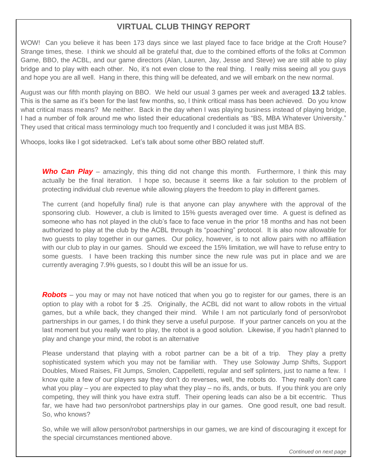## **VIRTUAL CLUB THINGY REPORT**

WOW! Can you believe it has been 173 days since we last played face to face bridge at the Croft House? Strange times, these. I think we should all be grateful that, due to the combined efforts of the folks at Common Game, BBO, the ACBL, and our game directors (Alan, Lauren, Jay, Jesse and Steve) we are still able to play bridge and to play with each other. No, it's not even close to the real thing. I really miss seeing all you guys and hope you are all well. Hang in there, this thing will be defeated, and we will embark on the new normal.

August was our fifth month playing on BBO. We held our usual 3 games per week and averaged 13.2 tables. This is the same as it's been for the last few months, so, I think critical mass has been achieved. Do you know what critical mass means? Me neither. Back in the day when I was playing business instead of playing bridge, I had a number of folk around me who listed their educational credentials as "BS, MBA Whatever University." They used that critical mass terminology much too frequently and I concluded it was just MBA BS.

Whoops, looks like I got sidetracked. Let's talk about some other BBO related stuff.

**Who Can Play** – amazingly, this thing did not change this month. Furthermore, I think this may actually be the final iteration. I hope so, because it seems like a fair solution to the problem of protecting individual club revenue while allowing players the freedom to play in different games.

The current (and hopefully final) rule is that anyone can play anywhere with the approval of the sponsoring club. However, a club is limited to 15% guests averaged over time. A guest is defined as someone who has not played in the club's face to face venue in the prior 18 months and has not been authorized to play at the club by the ACBL through its "poaching" protocol. It is also now allowable for two guests to play together in our games. Our policy, however, is to not allow pairs with no affiliation with our club to play in our games. Should we exceed the 15% limitation, we will have to refuse entry to some guests. I have been tracking this number since the new rule was put in place and we are currently averaging 7.9% guests, so I doubt this will be an issue for us.

*Robots* – you may or may not have noticed that when you go to register for our games, there is an option to play with a robot for \$ .25. Originally, the ACBL did not want to allow robots in the virtual games, but a while back, they changed their mind. While I am not particularly fond of person/robot partnerships in our games, I do think they serve a useful purpose. If your partner cancels on you at the last moment but you really want to play, the robot is a good solution. Likewise, if you hadn't planned to play and change your mind, the robot is an alternative

Please understand that playing with a robot partner can be a bit of a trip. They play a pretty sophisticated system which you may not be familiar with. They use Soloway Jump Shifts, Support Doubles, Mixed Raises, Fit Jumps, Smolen, Cappelletti, regular and self splinters, just to name a few. I know quite a few of our players say they don't do reverses, well, the robots do. They really don't care what you play – you are expected to play what they play – no ifs, ands, or buts. If you think you are only competing, they will think you have extra stuff. Their opening leads can also be a bit eccentric. Thus far, we have had two person/robot partnerships play in our games. One good result, one bad result. So, who knows?

So, while we will allow person/robot partnerships in our games, we are kind of discouraging it except for the special circumstances mentioned above.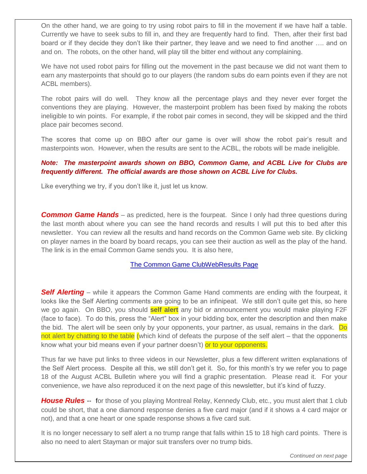On the other hand, we are going to try using robot pairs to fill in the movement if we have half a table. Currently we have to seek subs to fill in, and they are frequently hard to find. Then, after their first bad board or if they decide they don't like their partner, they leave and we need to find another …. and on and on. The robots, on the other hand, will play till the bitter end without any complaining.

We have not used robot pairs for filling out the movement in the past because we did not want them to earn any masterpoints that should go to our players (the random subs do earn points even if they are not ACBL members).

The robot pairs will do well. They know all the percentage plays and they never ever forget the conventions they are playing. However, the masterpoint problem has been fixed by making the robots ineligible to win points. For example, if the robot pair comes in second, they will be skipped and the third place pair becomes second.

The scores that come up on BBO after our game is over will show the robot pair's result and masterpoints won. However, when the results are sent to the ACBL, the robots will be made ineligible.

#### *Note: The masterpoint awards shown on BBO, Common Game, and ACBL Live for Clubs are frequently different. The official awards are those shown on ACBL Live for Clubs.*

Like everything we try, if you don't like it, just let us know.

**Common Game Hands** – as predicted, here is the fourpeat. Since I only had three questions during the last month about where you can see the hand records and results I will put this to bed after this newsletter. You can review all the results and hand records on the Common Game web site. By clicking on player names in the board by board recaps, you can see their auction as well as the play of the hand. The link is in the email Common Game sends you. It is also here,

[The Common Game ClubWebResults Page](https://tcgcloud.bridgefinesse.com/ClubWebHost/146233/) 

**Self Alerting** – while it appears the Common Game Hand comments are ending with the fourpeat, it looks like the Self Alerting comments are going to be an infinipeat. We still don't quite get this, so here we go again. On BBO, you should **self alert** any bid or announcement you would make playing F2F (face to face). To do this, press the "Alert" box in your bidding box, enter the description and then make the bid. The alert will be seen only by your opponents, your partner, as usual, remains in the dark. Do not alert by chatting to the table (which kind of defeats the purpose of the self alert – that the opponents know what your bid means even if your partner doesn't) or to your opponents.

Thus far we have put links to three videos in our Newsletter, plus a few different written explanations of the Self Alert process. Despite all this, we still don't get it. So, for this month's try we refer you to page 18 of the August ACBL Bulletin where you will find a graphic presentation. Please read it. For your convenience, we have also reproduced it on the next page of this newsletter, but it's kind of fuzzy.

*House Rules* --for those of you playing Montreal Relay, Kennedy Club, etc., you must alert that 1 club could be short, that a one diamond response denies a five card major (and if it shows a 4 card major or not), and that a one heart or one spade response shows a five card suit.

It is no longer necessary to self alert a no trump range that falls within 15 to 18 high card points. There is also no need to alert Stayman or major suit transfers over no trump bids.

*Continued on next page*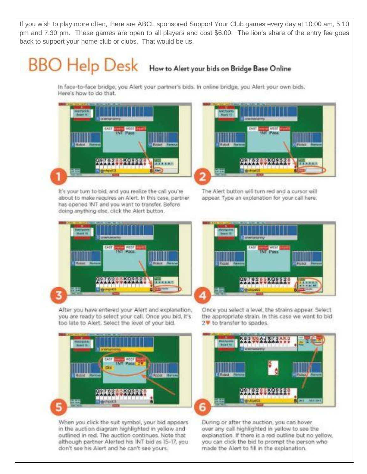If you wish to play more often, there are ABCL sponsored Support Your Club games every day at 10:00 am, 5:10 pm and 7:30 pm. These games are open to all players and cost \$6.00. The lion's share of the entry fee goes back to support your home club or clubs. That would be us.

# **BBO** Help Desk How to Alert your bids on Bridge Base Online

In face-to-face bridge, you Alert your partner's bids, In online bridge, you Alert your own bids. Here's how to do that.



It's your turn to bid, and you realize the call you're about to make requires an Alert. In this case, partner. has opened TNT and you want to transfer. Before doing anything else, click the Alert button.



The Alert button will turn red and a cursor will appear. Type an explanation for your call here.



After you have entered your Alert and explanation, you are ready to select your call. Once you bid, it's too late to Alert. Select the level of your bid.



When you click the suit symbol, your bid appears in the auction diagram highlighted in yellow and outlined in red. The auction continues. Note that although partner Alerted his INT bid as 15-17, youdon't see his Alert and he can't see yours.



Once you select a level, the strains appear. Select the appropriate strain. In this case we want to bid 2V to transfer to spades.



During or after the auction, you can hover over any call highlighted in yellow to see the explanation. If there is a red outline but no yellow, you can click the bid to prompt the person who made the Alert to fill in the explanation.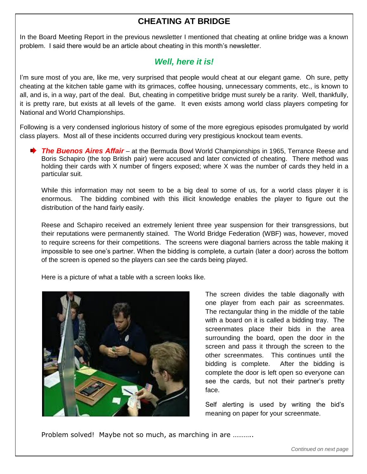## **CHEATING AT BRIDGE**

In the Board Meeting Report in the previous newsletter I mentioned that cheating at online bridge was a known problem. I said there would be an article about cheating in this month's newsletter.

## *Well, here it is!*

I'm sure most of you are, like me, very surprised that people would cheat at our elegant game. Oh sure, petty cheating at the kitchen table game with its grimaces, coffee housing, unnecessary comments, etc., is known to all, and is, in a way, part of the deal. But, cheating in competitive bridge must surely be a rarity. Well, thankfully, it is pretty rare, but exists at all levels of the game. It even exists among world class players competing for National and World Championships.

Following is a very condensed inglorious history of some of the more egregious episodes promulgated by world class players. Most all of these incidents occurred during very prestigious knockout team events.

**★ The Buenos Aires Affair** – at the Bermuda Bowl World Championships in 1965, Terrance Reese and Boris Schapiro (the top British pair) were accused and later convicted of cheating. There method was holding their cards with X number of fingers exposed; where X was the number of cards they held in a particular suit.

While this information may not seem to be a big deal to some of us, for a world class player it is enormous. The bidding combined with this illicit knowledge enables the player to figure out the distribution of the hand fairly easily.

Reese and Schapiro received an extremely lenient three year suspension for their transgressions, but their reputations were permanently stained. The World Bridge Federation (WBF) was, however, moved to require screens for their competitions. The screens were diagonal barriers across the table making it impossible to see one's partner. When the bidding is complete, a curtain (later a door) across the bottom of the screen is opened so the players can see the cards being played.

Here is a picture of what a table with a screen looks like.



The screen divides the table diagonally with one player from each pair as screenmates. The rectangular thing in the middle of the table with a board on it is called a bidding tray. The screenmates place their bids in the area surrounding the board, open the door in the screen and pass it through the screen to the other screenmates. This continues until the bidding is complete. After the bidding is complete the door is left open so everyone can see the cards, but not their partner's pretty face.

Self alerting is used by writing the bid's meaning on paper for your screenmate.

Problem solved! Maybe not so much, as marching in are ………..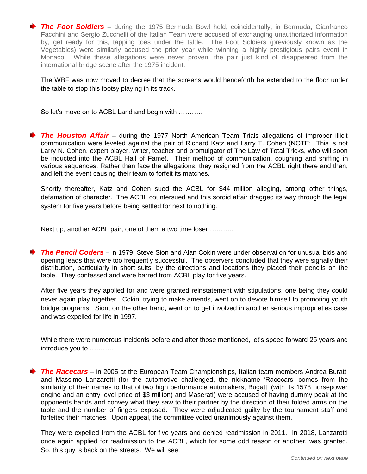**★ The Foot Soldiers** – during the 1975 Bermuda Bowl held, coincidentally, in Bermuda, Gianfranco Facchini and Sergio Zucchelli of the Italian Team were accused of exchanging unauthorized information by, get ready for this, tapping toes under the table. The Foot Soldiers (previously known as the Vegetables) were similarly accused the prior year while winning a highly prestigious pairs event in Monaco. While these allegations were never proven, the pair just kind of disappeared from the international bridge scene after the 1975 incident.

The WBF was now moved to decree that the screens would henceforth be extended to the floor under the table to stop this footsy playing in its track.

So let's move on to ACBL Land and begin with ………..

j

**★ The Houston Affair** – during the 1977 North American Team Trials allegations of improper illicit communication were leveled against the pair of Richard Katz and Larry T. Cohen (NOTE: This is not Larry N. Cohen, expert player, writer, teacher and promulgator of The Law of Total Tricks, who will soon be inducted into the ACBL Hall of Fame). Their method of communication, coughing and sniffing in various sequences. Rather than face the allegations, they resigned from the ACBL right there and then, and left the event causing their team to forfeit its matches.

Shortly thereafter, Katz and Cohen sued the ACBL for \$44 million alleging, among other things, defamation of character. The ACBL countersued and this sordid affair dragged its way through the legal system for five years before being settled for next to nothing.

Next up, another ACBL pair, one of them a two time loser ………..

*The Pencil Coders* – in 1979, Steve Sion and Alan Cokin were under observation for unusual bids and opening leads that were too frequently successful. The observers concluded that they were signally their distribution, particularly in short suits, by the directions and locations they placed their pencils on the table. They confessed and were barred from ACBL play for five years.

After five years they applied for and were granted reinstatement with stipulations, one being they could never again play together. Cokin, trying to make amends, went on to devote himself to promoting youth bridge programs. Sion, on the other hand, went on to get involved in another serious improprieties case and was expelled for life in 1997.

While there were numerous incidents before and after those mentioned, let's speed forward 25 years and introduce you to ………..

**The Racecars** – in 2005 at the European Team Championships, Italian team members Andrea Buratti and Massimo Lanzarotti (for the automotive challenged, the nickname 'Racecars' comes from the similarity of their names to that of two high performance automakers, Bugatti (with its 1578 horsepower engine and an entry level price of \$3 million) and Maserati) were accused of having dummy peak at the opponents hands and convey what they saw to their partner by the direction of their folded arms on the table and the number of fingers exposed. They were adjudicated guilty by the tournament staff and forfeited their matches. Upon appeal, the committee voted unanimously against them.

They were expelled from the ACBL for five years and denied readmission in 2011. In 2018, Lanzarotti once again applied for readmission to the ACBL, which for some odd reason or another, was granted. So, this guy is back on the streets. We will see.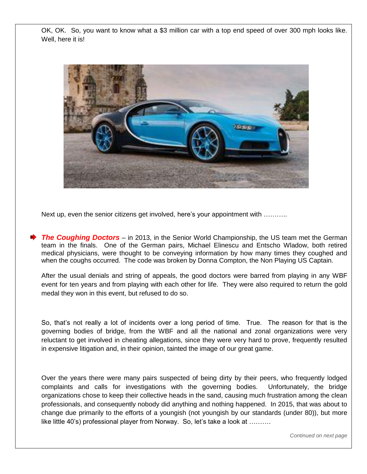OK, OK. So, you want to know what a \$3 million car with a top end speed of over 300 mph looks like. Well, here it is!



Next up, even the senior citizens get involved, here's your appointment with ………..

*The Coughing Doctors* – in 2013, in the Senior World Championship, the US team met the German team in the finals. One of the German pairs, Michael Elinescu and Entscho Wladow, both retired medical physicians, were thought to be conveying information by how many times they coughed and when the coughs occurred. The code was broken by Donna Compton, the Non Playing US Captain.

After the usual denials and string of appeals, the good doctors were barred from playing in any WBF event for ten years and from playing with each other for life. They were also required to return the gold medal they won in this event, but refused to do so.

So, that's not really a lot of incidents over a long period of time. True. The reason for that is the governing bodies of bridge, from the WBF and all the national and zonal organizations were very reluctant to get involved in cheating allegations, since they were very hard to prove, frequently resulted in expensive litigation and, in their opinion, tainted the image of our great game.

Over the years there were many pairs suspected of being dirty by their peers, who frequently lodged complaints and calls for investigations with the governing bodies. Unfortunately, the bridge organizations chose to keep their collective heads in the sand, causing much frustration among the clean professionals, and consequently nobody did anything and nothing happened. In 2015, that was about to change due primarily to the efforts of a youngish (not youngish by our standards (under 80)), but more like little 40's) professional player from Norway. So, let's take a look at ……….

*Continued on next page*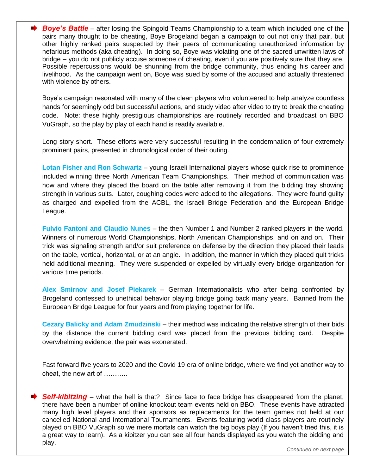**Boye's Battle** – after losing the Spingold Teams Championship to a team which included one of the pairs many thought to be cheating, Boye Brogeland began a campaign to out not only that pair, but other highly ranked pairs suspected by their peers of communicating unauthorized information by nefarious methods (aka cheating). In doing so, Boye was violating one of the sacred unwritten laws of bridge – you do not publicly accuse someone of cheating, even if you are positively sure that they are. Possible repercussions would be shunning from the bridge community, thus ending his career and livelihood. As the campaign went on, Boye was sued by some of the accused and actually threatened with violence by others.

Boye's campaign resonated with many of the clean players who volunteered to help analyze countless hands for seemingly odd but successful actions, and study video after video to try to break the cheating code. Note: these highly prestigious championships are routinely recorded and broadcast on BBO VuGraph, so the play by play of each hand is readily available.

Long story short. These efforts were very successful resulting in the condemnation of four extremely prominent pairs, presented in chronological order of their outing.

**Lotan Fisher and Ron Schwartz** – young Israeli International players whose quick rise to prominence included winning three North American Team Championships. Their method of communication was how and where they placed the board on the table after removing it from the bidding tray showing strength in various suits. Later, coughing codes were added to the allegations. They were found guilty as charged and expelled from the ACBL, the Israeli Bridge Federation and the European Bridge League.

**Fulvio Fantoni and Claudio Nunes** – the then Number 1 and Number 2 ranked players in the world. Winners of numerous World Championships, North American Championships, and on and on. Their trick was signaling strength and/or suit preference on defense by the direction they placed their leads on the table, vertical, horizontal, or at an angle. In addition, the manner in which they placed quit tricks held additional meaning. They were suspended or expelled by virtually every bridge organization for various time periods.

**Alex Smirnov and Josef Piekarek** – German Internationalists who after being confronted by Brogeland confessed to unethical behavior playing bridge going back many years. Banned from the European Bridge League for four years and from playing together for life.

**Cezary Balicky and Adam Zmudzinski** – their method was indicating the relative strength of their bids by the distance the current bidding card was placed from the previous bidding card. Despite overwhelming evidence, the pair was exonerated.

Fast forward five years to 2020 and the Covid 19 era of online bridge, where we find yet another way to cheat, the new art of ………..

**Self-kibitzing** – what the hell is that? Since face to face bridge has disappeared from the planet, there have been a number of online knockout team events held on BBO. These events have attracted many high level players and their sponsors as replacements for the team games not held at our cancelled National and International Tournaments. Events featuring world class players are routinely played on BBO VuGraph so we mere mortals can watch the big boys play (If you haven't tried this, it is a great way to learn). As a kibitzer you can see all four hands displayed as you watch the bidding and play.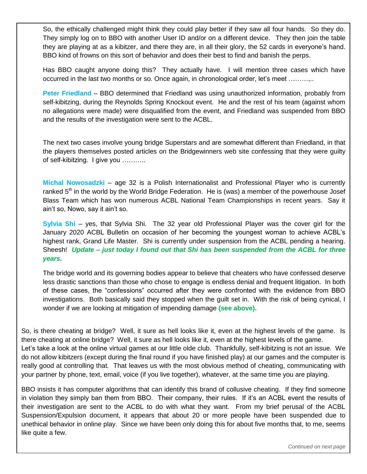So, the ethically challenged might think they could play better if they saw all four hands. So they do. They simply log on to BBO with another User ID and/or on a different device. They then join the table they are playing at as a kibitzer, and there they are, in all their glory, the 52 cards in everyone's hand. BBO kind of frowns on this sort of behavior and does their best to find and banish the perps.

Has BBO caught anyone doing this? They actually have. I will mention three cases which have occurred in the last two months or so. Once again, in chronological order, let's meet ………,..

**Peter Friedland** – BBO determined that Friedland was using unauthorized information, probably from self-kibitzing, during the Reynolds Spring Knockout event. He and the rest of his team (against whom no allegations were made) were disqualified from the event, and Friedland was suspended from BBO and the results of the investigation were sent to the ACBL.

The next two cases involve young bridge Superstars and are somewhat different than Friedland, in that the players themselves posted articles on the Bridgewinners web site confessing that they were guilty of self-kibitzing. I give you ………..

**Michal Nowosadzki** – age 32 is a Polish Internationalist and Professional Player who is currently ranked 5<sup>th</sup> in the world by the World Bridge Federation. He is (was) a member of the powerhouse Josef Blass Team which has won numerous ACBL National Team Championships in recent years. Say it ain't so, Nowo, say it ain't so.

**Sylvia Shi** – yes, that Sylvia Shi. The 32 year old Professional Player was the cover girl for the January 2020 ACBL Bulletin on occasion of her becoming the youngest woman to achieve ACBL's highest rank, Grand Life Master. Shi is currently under suspension from the ACBL pending a hearing. Sheesh! *Update – just today I found out that Shi has been suspended from the ACBL for three years.*

The bridge world and its governing bodies appear to believe that cheaters who have confessed deserve less drastic sanctions than those who chose to engage is endless denial and frequent litigation. In both of these cases, the "confessions" occurred after they were confronted with the evidence from BBO investigations. Both basically said they stopped when the guilt set in. With the risk of being cynical, I wonder if we are looking at mitigation of impending damage **(see above).**

So, is there cheating at bridge? Well, it sure as hell looks like it, even at the highest levels of the game. Is there cheating at online bridge? Well, it sure as hell looks like it, even at the highest levels of the game. Let's take a look at the online virtual games at our little olde club. Thankfully, self-kibitzing is not an issue. We do not allow kibitzers (except during the final round if you have finished play) at our games and the computer is really good at controlling that. That leaves us with the most obvious method of cheating, communicating with your partner by phone, text, email, voice (if you live together), whatever, at the same time you are playing.

BBO insists it has computer algorithms that can identify this brand of collusive cheating. If they find someone in violation they simply ban them from BBO. Their company, their rules. If it's an ACBL event the results of their investigation are sent to the ACBL to do with what they want. From my brief perusal of the ACBL Suspension/Expulsion document, it appears that about 20 or more people have been suspended due to unethical behavior in online play. Since we have been only doing this for about five months that, to me, seems like quite a few.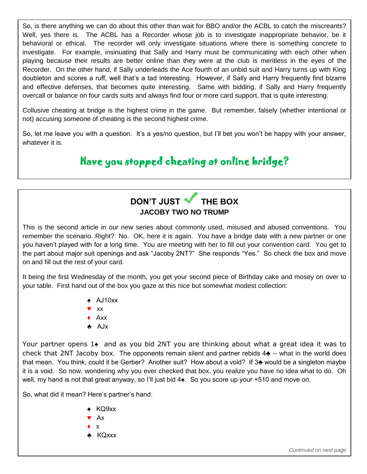So, is there anything we can do about this other than wait for BBO and/or the ACBL to catch the miscreants? Well, yes there is. The ACBL has a Recorder whose job is to investigate inappropriate behavior, be it behavioral or ethical. The recorder will only investigate situations where there is something concrete to investigate. For example, insinuating that Sally and Harry must be communicating with each other when playing because their results are better online than they were at the club is meritless in the eyes of the Recorder. On the other hand, if Sally underleads the Ace fourth of an unbid suit and Harry turns up with King doubleton and scores a ruff, well that's a tad interesting. However, if Sally and Harry frequently find bizarre and effective defenses, that becomes quite interesting. Same with bidding, if Sally and Harry frequently overcall or balance on four cards suits and always find four or more card support, that is quite interesting.

Collusive cheating at bridge is the highest crime in the game. But remember, falsely (whether intentional or not) accusing someone of cheating is the second highest crime.

So, let me leave you with a question. It's a yes/no question, but I'll bet you won't be happy with your answer, whatever it is.

## Have you stopped cheating at online bridge?

## DON'T JUST **THE BOX JACOBY TWO NO TRUMP**

This is the second article in our new series about commonly used, misused and abused conventions. You remember the scenario. Right? No. OK, here it is again. You have a bridge date with a new partner or one you haven't played with for a long time. You are meeting with her to fill out your convention card. You get to the part about major suit openings and ask "Jacoby 2NT?" She responds "Yes." So check the box and move on and fill out the rest of your card.

It being the first Wednesday of the month, you get your second piece of Birthday cake and mosey on over to your table. First hand out of the box you gaze at this nice but somewhat modest collection:

- ♠ AJ10xx
- ♥ xx
- ♦ Axx
- ♣ AJx

Your partner opens 1♠ and as you bid 2NT you are thinking about what a great idea it was to check that 2NT Jacoby box. The opponents remain silent and partner rebids 4♣ -- what in the world does that mean. You think, could it be Gerber? Another suit? How about a void? If 3♣ would be a singleton maybe it is a void. So now, wondering why you ever checked that box, you realize you have no idea what to do. Oh well, my hand is not that great anyway, so I'll just bid 4♠. So you score up your +510 and move on.

So, what did it mean? Here's partner's hand:

- ♠ KQ9xx
- ♥ Ax
- $\bullet$  x
- ♣ KQxxx